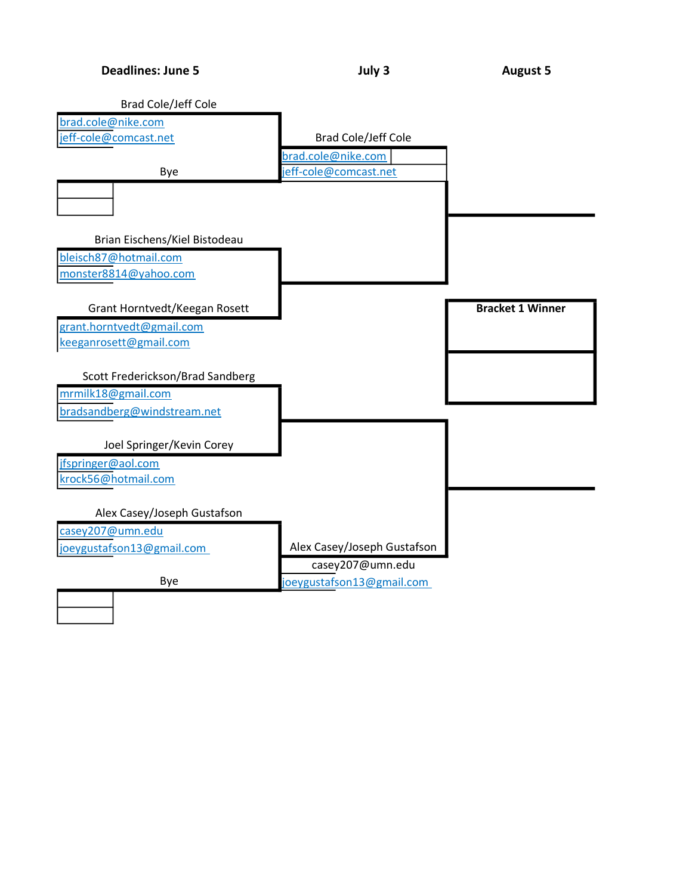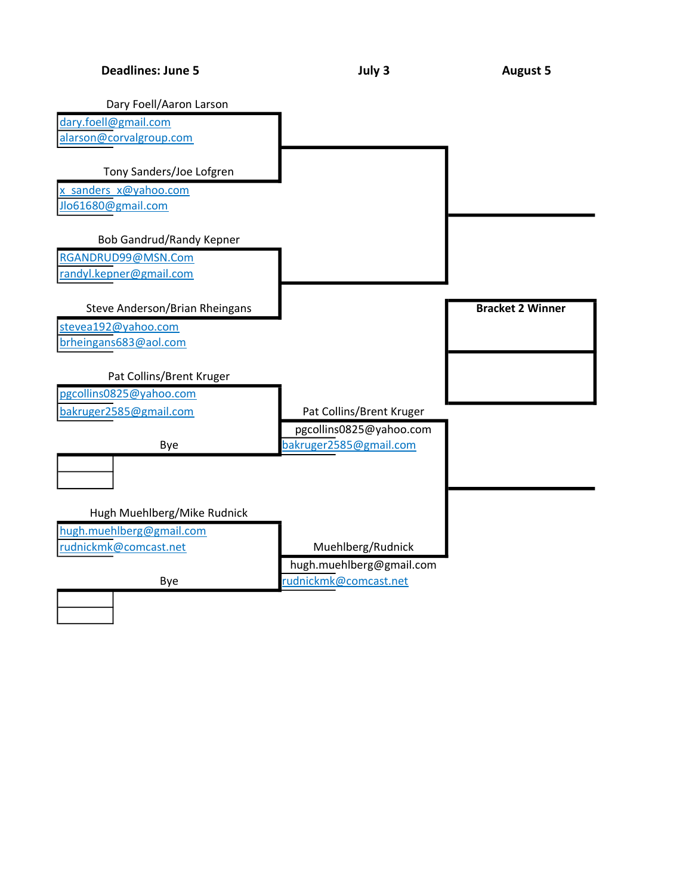| <b>Deadlines: June 5</b> |  |  |  |
|--------------------------|--|--|--|
|--------------------------|--|--|--|

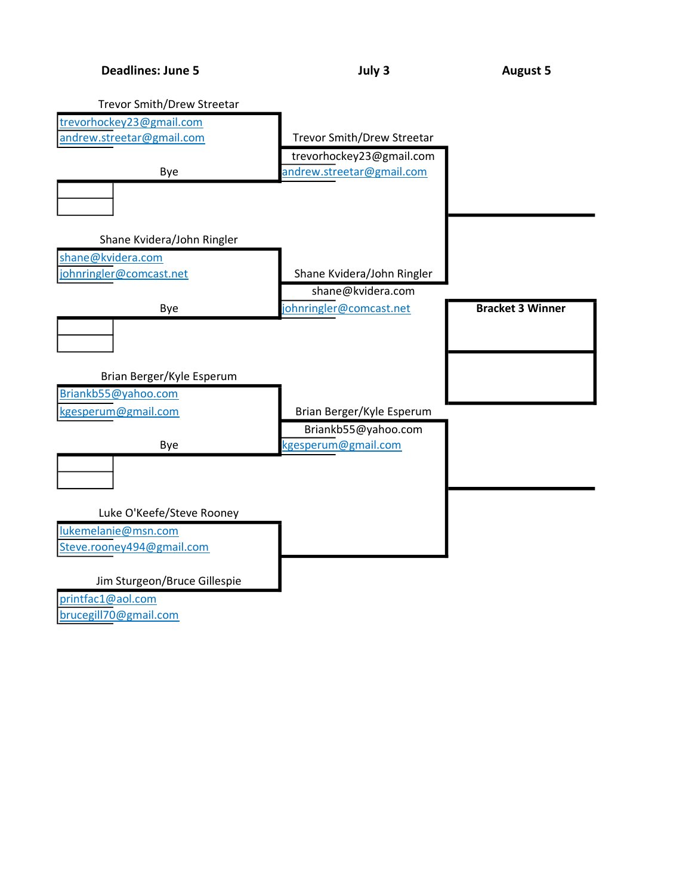

brucegill70@gmail.com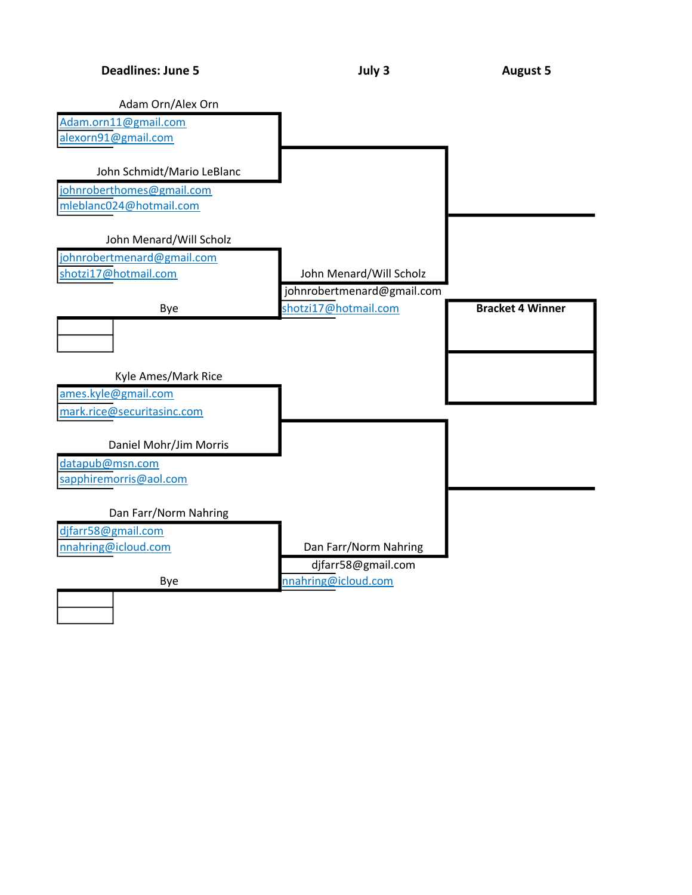Deadlines: June 5 **Deadlines: July 3** August 5

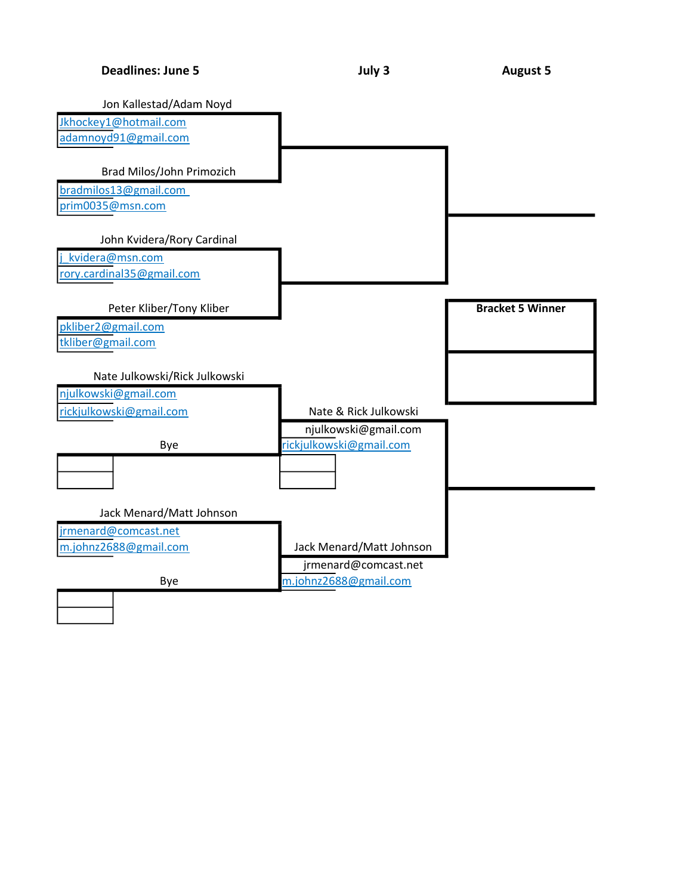| <b>Deadlines: June 5</b> |  |  |  |
|--------------------------|--|--|--|
|--------------------------|--|--|--|

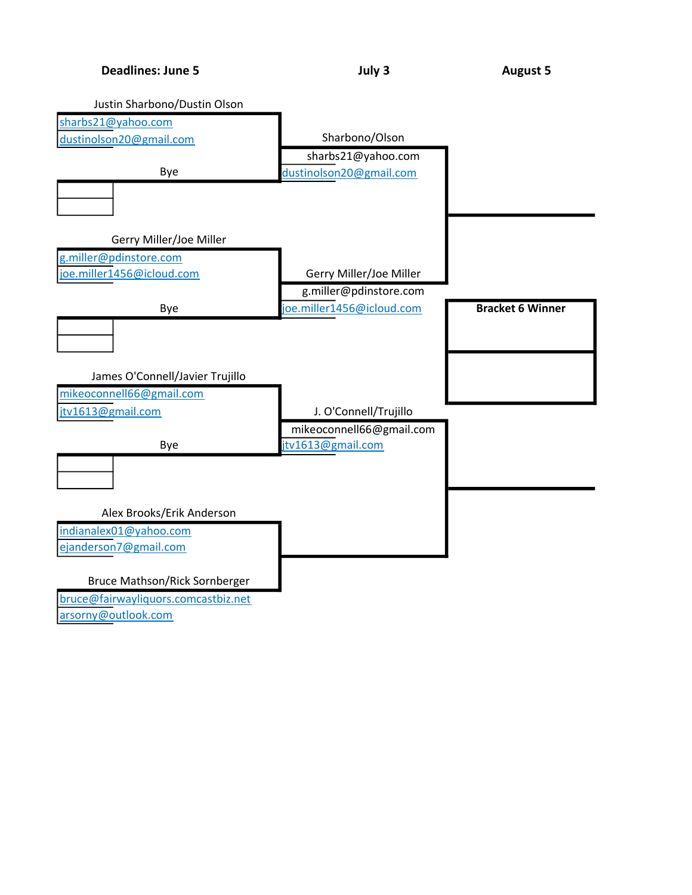

arsorny@outlook.com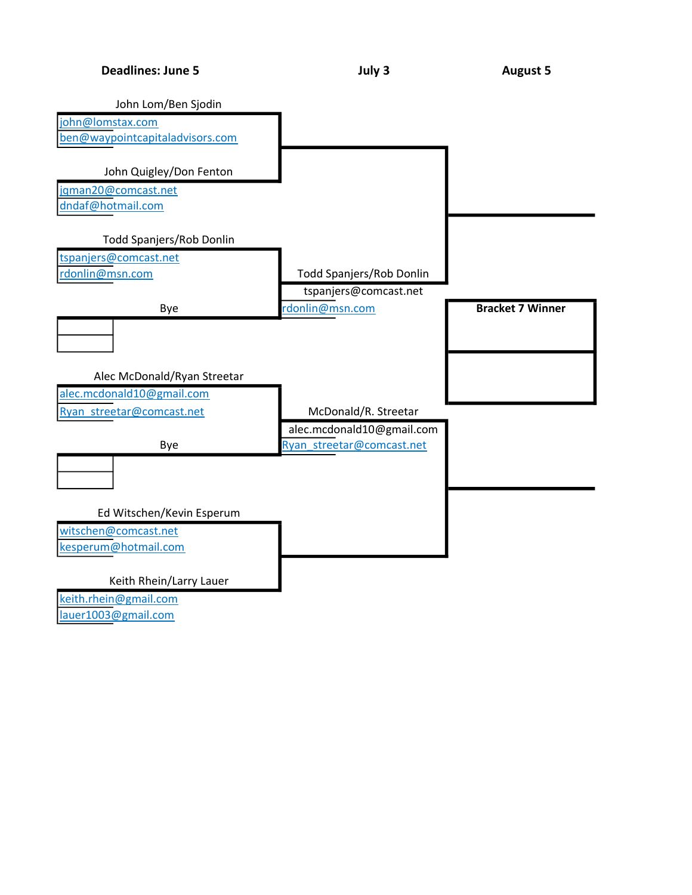

lauer1003@gmail.com